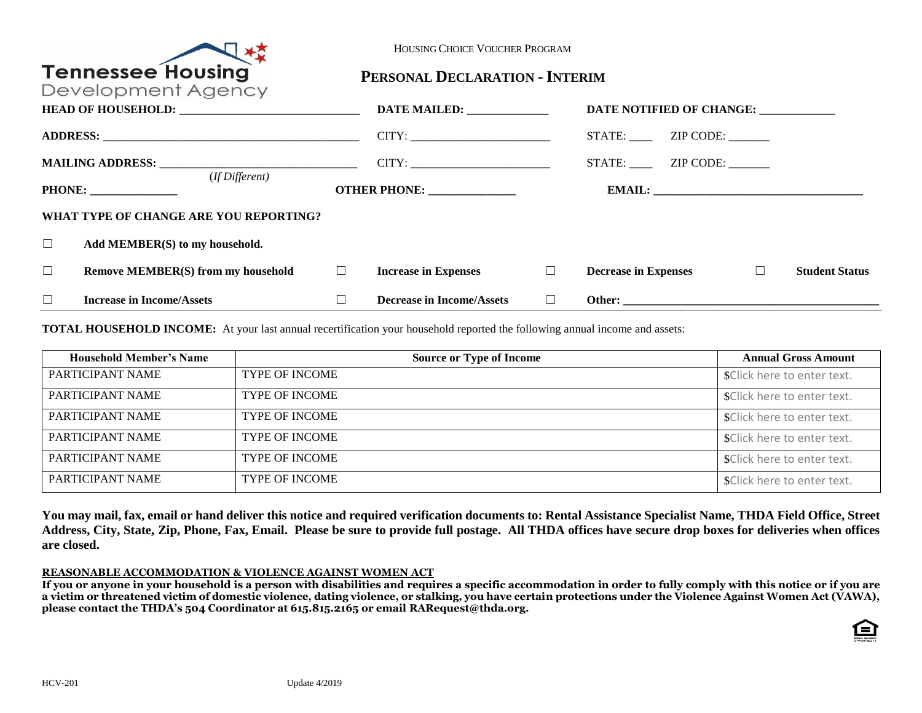| **                                                     |                                | <b>HOUSING CHOICE VOUCHER PROGRAM</b> |              |                                       |                       |
|--------------------------------------------------------|--------------------------------|---------------------------------------|--------------|---------------------------------------|-----------------------|
| <b>Tennessee Housing</b><br>Development Agency         | PERSONAL DECLARATION - INTERIM |                                       |              |                                       |                       |
|                                                        |                                |                                       |              | DATE NOTIFIED OF CHANGE:              |                       |
|                                                        |                                |                                       |              | STATE: _______ ZIP CODE: _______      |                       |
| MAILING ADDRESS: CHARLET CITY:                         |                                |                                       |              | STATE: ZIP CODE:                      |                       |
| $(If$ Different $)$<br>PHONE:                          |                                | <b>OTHER PHONE:</b>                   |              |                                       |                       |
| WHAT TYPE OF CHANGE ARE YOU REPORTING?                 |                                |                                       |              |                                       |                       |
| $\Box$<br>Add MEMBER(S) to my household.               |                                |                                       |              |                                       |                       |
| $\Box$<br>Remove MEMBER(S) from my household $\square$ |                                | <b>Increase in Expenses</b>           | $\Box$       | $\Box$<br><b>Decrease in Expenses</b> | <b>Student Status</b> |
| $\Box$<br><b>Increase in Income/Assets</b>             |                                | <b>Decrease in Income/Assets</b>      | $\mathbf{L}$ |                                       |                       |

**TOTAL HOUSEHOLD INCOME:** At your last annual recertification your household reported the following annual income and assets:

| <b>Household Member's Name</b> | <b>Source or Type of Income</b> | <b>Annual Gross Amount</b>  |
|--------------------------------|---------------------------------|-----------------------------|
| PARTICIPANT NAME               | <b>TYPE OF INCOME</b>           | \$Click here to enter text. |
| PARTICIPANT NAME               | <b>TYPE OF INCOME</b>           | \$Click here to enter text. |
| PARTICIPANT NAME               | <b>TYPE OF INCOME</b>           | \$Click here to enter text. |
| PARTICIPANT NAME               | <b>TYPE OF INCOME</b>           | \$Click here to enter text. |
| PARTICIPANT NAME               | <b>TYPE OF INCOME</b>           | \$Click here to enter text. |
| PARTICIPANT NAME               | <b>TYPE OF INCOME</b>           | \$Click here to enter text. |

**You may mail, fax, email or hand deliver this notice and required verification documents to: Rental Assistance Specialist Name, THDA Field Office, Street Address, City, State, Zip, Phone, Fax, Email. Please be sure to provide full postage. All THDA offices have secure drop boxes for deliveries when offices are closed.**

### **REASONABLE ACCOMMODATION & VIOLENCE AGAINST WOMEN ACT**

**If you or anyone in your household is a person with disabilities and requires a specific accommodation in order to fully comply with this notice or if you are a victim or threatened victim of domestic violence, dating violence, or stalking, you have certain protections under the Violence Against Women Act (VAWA), please contact the THDA's 504 Coordinator at 615.815.2165 or email [RARequest@thda.org.](mailto:RARequest@thda.org)** 

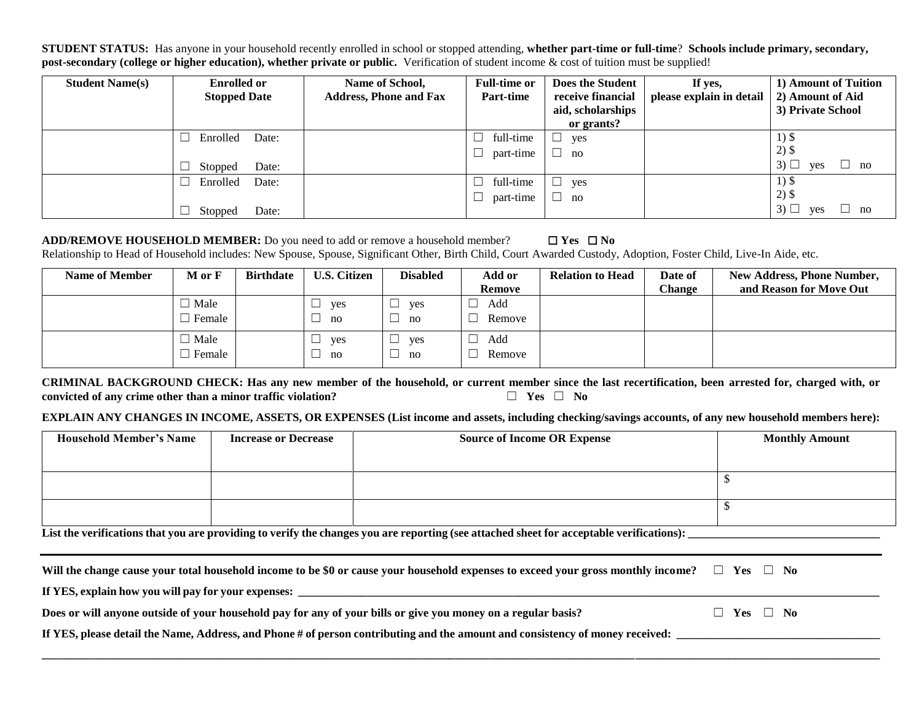**STUDENT STATUS:** Has anyone in your household recently enrolled in school or stopped attending, **whether part-time or full-time**? **Schools include primary, secondary, post-secondary (college or higher education), whether private or public.** Verification of student income & cost of tuition must be supplied!

| <b>Student Name(s)</b> | <b>Enrolled or</b><br><b>Stopped Date</b> | Name of School,<br><b>Address, Phone and Fax</b> | <b>Full-time or</b><br>Part-time | Does the Student<br>receive financial<br>aid, scholarships<br>or grants? | If yes,<br>please explain in detail | 1) Amount of Tuition<br>2) Amount of Aid<br>3) Private School |
|------------------------|-------------------------------------------|--------------------------------------------------|----------------------------------|--------------------------------------------------------------------------|-------------------------------------|---------------------------------------------------------------|
|                        | Enrolled<br>Date:                         |                                                  | full-time                        | $\sqcup$<br>yes                                                          |                                     | $1)$ \$                                                       |
|                        | Date:<br>Stopped                          |                                                  | part-time                        | ⊔<br>no                                                                  |                                     | $2)$ \$<br>$3)$ $\Box$<br>$\Box$<br>$\mathbf{n}$<br>yes       |
|                        | Enrolled<br>Date:                         |                                                  | full-time                        | ⊔<br>yes                                                                 |                                     | $1)$ \$                                                       |
|                        |                                           |                                                  | part-time                        | no<br>ப                                                                  |                                     | $2)$ \$                                                       |
|                        | Date:<br>Stopped                          |                                                  |                                  |                                                                          |                                     | $3)$ $\Box$<br>പ<br>no<br>yes                                 |

# **ADD/REMOVE HOUSEHOLD MEMBER:** Do you need to add or remove a household member? ☐ **Yes** ☐ **No**

Relationship to Head of Household includes: New Spouse, Spouse, Significant Other, Birth Child, Court Awarded Custody, Adoption, Foster Child, Live-In Aide, etc.

| <b>Name of Member</b> | M or F | <b>Birthdate</b> | <b>U.S. Citizen</b> | <b>Disabled</b> | Add or<br><b>Relation to Head</b> |  | Date of       | New Address, Phone Number, |
|-----------------------|--------|------------------|---------------------|-----------------|-----------------------------------|--|---------------|----------------------------|
|                       |        |                  |                     |                 | Remove                            |  | <b>Change</b> | and Reason for Move Out    |
|                       | Male   |                  | yes<br>└            | yes<br>ىسا      | Add                               |  |               |                            |
|                       | Female |                  | no                  | no              | Remove                            |  |               |                            |
|                       | Male   |                  | yes<br>ᅳ            | yes<br>ىسا      | Add                               |  |               |                            |
|                       | Female |                  | no                  | no              | Remove                            |  |               |                            |

**CRIMINAL BACKGROUND CHECK: Has any new member of the household, or current member since the last recertification, been arrested for, charged with, or convicted of any crime other than a minor traffic violation?** ☐ **Yes** ☐ **No** 

**EXPLAIN ANY CHANGES IN INCOME, ASSETS, OR EXPENSES (List income and assets, including checking/savings accounts, of any new household members here):** 

| <b>Household Member's Name</b> | <b>Increase or Decrease</b> | <b>Source of Income OR Expense</b> | <b>Monthly Amount</b> |
|--------------------------------|-----------------------------|------------------------------------|-----------------------|
|                                |                             |                                    |                       |
|                                |                             |                                    |                       |
|                                |                             |                                    |                       |

List the verifications that you are providing to verify the changes you are reporting (see attached sheet for acceptable verifications):

| Will the change cause your total household income to be \$0 or cause your household expenses to exceed your gross monthly income? | $\Box$ Yes $\Box$ No |  |
|-----------------------------------------------------------------------------------------------------------------------------------|----------------------|--|
| If YES, explain how you will pay for your expenses:                                                                               |                      |  |
| Does or will anyone outside of your household pay for any of your bills or give you money on a regular basis?                     | $\Box$ Yes $\Box$ No |  |
| If YES, please detail the Name, Address, and Phone # of person contributing and the amount and consistency of money received:     |                      |  |

**\_\_\_\_\_\_\_\_\_\_\_\_\_\_\_\_\_\_\_\_\_\_\_\_\_\_\_\_\_\_\_\_\_\_\_\_\_\_\_\_\_\_\_\_\_\_\_\_\_\_\_\_\_\_\_\_\_\_\_\_\_\_\_\_\_\_\_\_\_\_\_\_\_\_\_\_\_\_\_\_\_\_\_\_\_\_\_\_\_\_\_\_\_\_\_\_\_\_\_\_\_\_\_\_\_\_\_\_\_\_\_\_\_\_\_\_\_\_\_\_\_\_\_\_\_\_\_\_\_\_\_\_\_\_\_\_\_\_\_\_\_\_\_\_**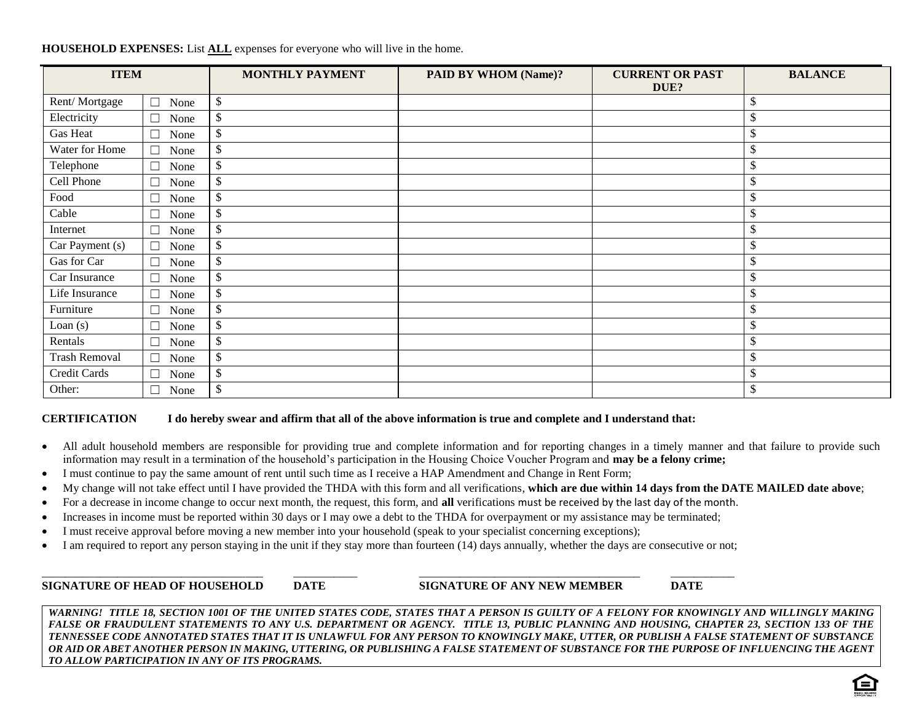| <b>ITEM</b>          |                                  | <b>MONTHLY PAYMENT</b> | <b>PAID BY WHOM (Name)?</b> | <b>CURRENT OR PAST</b> | <b>BALANCE</b>            |
|----------------------|----------------------------------|------------------------|-----------------------------|------------------------|---------------------------|
|                      |                                  |                        |                             | DUE?                   |                           |
| Rent/Mortgage        | $\Box$<br>None                   | \$                     |                             |                        | \$                        |
| Electricity          | П<br>None                        | \$                     |                             |                        | $\mathcal{S}$             |
| Gas Heat             | None                             | \$                     |                             |                        | \$                        |
| Water for Home       | $\Box$<br>None                   | \$                     |                             |                        | $\mathcal{S}$             |
| Telephone            | None                             | \$                     |                             |                        | $\boldsymbol{\mathsf{S}}$ |
| Cell Phone           | None<br>L                        | \$                     |                             |                        | \$                        |
| Food                 | None                             | \$                     |                             |                        | $\mathcal{S}$             |
| Cable                | None<br>$\overline{\phantom{a}}$ | \$                     |                             |                        | $\boldsymbol{\mathsf{S}}$ |
| Internet             | None<br>$\Box$                   | \$                     |                             |                        | $\mathcal{S}$             |
| Car Payment (s)      | $\Box$<br>None                   | \$                     |                             |                        | $\boldsymbol{\mathsf{S}}$ |
| Gas for Car          | П<br>None                        | \$                     |                             |                        | \$                        |
| Car Insurance        | None<br>$\Box$                   | $\mathcal{S}$          |                             |                        | $\boldsymbol{\mathsf{S}}$ |
| Life Insurance       | None<br>$\Box$                   | \$                     |                             |                        | \$                        |
| Furniture            | None                             | \$                     |                             |                        | $\mathcal{S}$             |
| Loan(s)              | None                             | \$                     |                             |                        | $\boldsymbol{\mathsf{S}}$ |
| Rentals              | П<br>None                        | \$                     |                             |                        | \$                        |
| <b>Trash Removal</b> | $\Box$<br>None                   | $\mathcal{S}$          |                             |                        | $\boldsymbol{\mathsf{S}}$ |
| Credit Cards         | None<br>H                        | \$                     |                             |                        | \$                        |
| Other:               | None<br>$\mathcal{L}$            | \$                     |                             |                        | \$                        |

#### **HOUSEHOLD EXPENSES:** List **ALL** expenses for everyone who will live in the home.

### **CERTIFICATION I do hereby swear and affirm that all of the above information is true and complete and I understand that:**

- All adult household members are responsible for providing true and complete information and for reporting changes in a timely manner and that failure to provide such information may result in a termination of the household's participation in the Housing Choice Voucher Program and **may be a felony crime;**
- I must continue to pay the same amount of rent until such time as I receive a HAP Amendment and Change in Rent Form;
- My change will not take effect until I have provided the THDA with this form and all verifications, **which are due within 14 days from the DATE MAILED date above**;
- For a decrease in income change to occur next month, the request, this form, and **all** verifications must be received by the last day of the month.
- Increases in income must be reported within 30 days or I may owe a debt to the THDA for overpayment or my assistance may be terminated;
- I must receive approval before moving a new member into your household (speak to your specialist concerning exceptions);
- I am required to report any person staying in the unit if they stay more than fourteen (14) days annually, whether the days are consecutive or not;

\_\_\_\_\_\_\_\_\_\_\_\_\_\_\_\_\_\_\_\_\_\_\_\_\_\_\_\_\_\_\_\_\_\_\_\_\_\_ \_\_\_\_\_\_\_\_\_\_\_ \_\_\_\_\_\_\_\_\_\_\_\_\_\_\_\_\_\_\_\_\_\_\_\_\_\_\_\_\_\_\_\_\_\_\_\_\_\_ \_\_\_\_\_\_\_\_\_\_\_

**SIGNATURE OF HEAD OF HOUSEHOLD DATE SIGNATURE OF ANY NEW MEMBER DATE**

*WARNING! TITLE 18, SECTION 1001 OF THE UNITED STATES CODE, STATES THAT A PERSON IS GUILTY OF A FELONY FOR KNOWINGLY AND WILLINGLY MAKING FALSE OR FRAUDULENT STATEMENTS TO ANY U.S. DEPARTMENT OR AGENCY. TITLE 13, PUBLIC PLANNING AND HOUSING, CHAPTER 23, SECTION 133 OF THE TENNESSEE CODE ANNOTATED STATES THAT IT IS UNLAWFUL FOR ANY PERSON TO KNOWINGLY MAKE, UTTER, OR PUBLISH A FALSE STATEMENT OF SUBSTANCE OR AID OR ABET ANOTHER PERSON IN MAKING, UTTERING, OR PUBLISHING A FALSE STATEMENT OF SUBSTANCE FOR THE PURPOSE OF INFLUENCING THE AGENT TO ALLOW PARTICIPATION IN ANY OF ITS PROGRAMS.* 

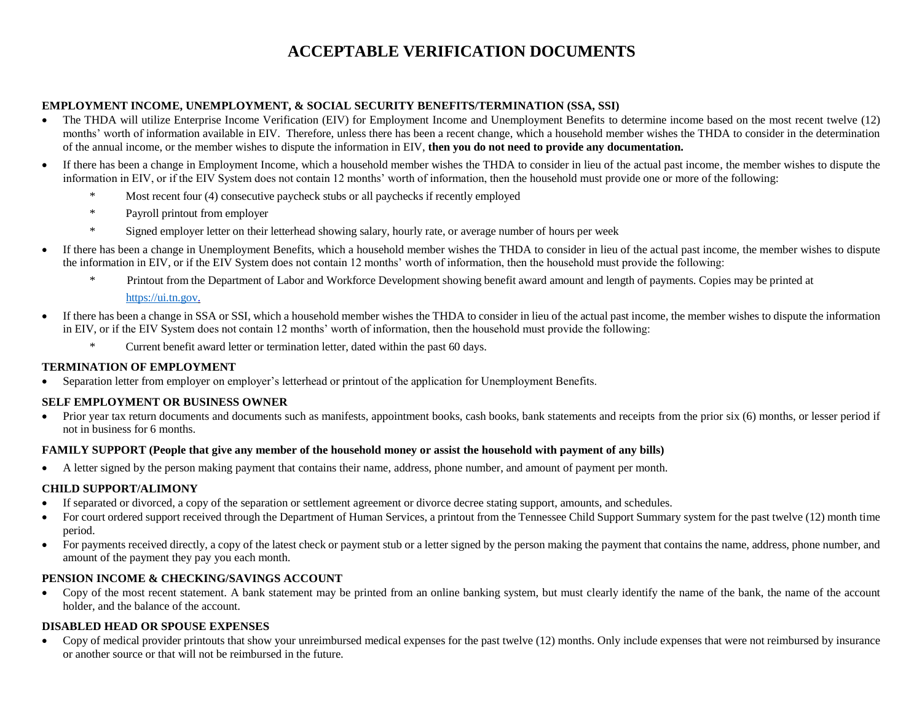# **ACCEPTABLE VERIFICATION DOCUMENTS**

## **EMPLOYMENT INCOME, UNEMPLOYMENT, & SOCIAL SECURITY BENEFITS/TERMINATION (SSA, SSI)**

- The THDA will utilize Enterprise Income Verification (EIV) for Employment Income and Unemployment Benefits to determine income based on the most recent twelve (12) months' worth of information available in EIV. Therefore, unless there has been a recent change, which a household member wishes the THDA to consider in the determination of the annual income, or the member wishes to dispute the information in EIV, **then you do not need to provide any documentation.**
- If there has been a change in Employment Income, which a household member wishes the THDA to consider in lieu of the actual past income, the member wishes to dispute the information in EIV, or if the EIV System does not contain 12 months' worth of information, then the household must provide one or more of the following:
	- \* Most recent four (4) consecutive paycheck stubs or all paychecks if recently employed
	- \* Payroll printout from employer
	- \* Signed employer letter on their letterhead showing salary, hourly rate, or average number of hours per week
- If there has been a change in Unemployment Benefits, which a household member wishes the THDA to consider in lieu of the actual past income, the member wishes to dispute the information in EIV, or if the EIV System does not contain 12 months' worth of information, then the household must provide the following:
	- \* Printout from the Department of Labor and Workforce Development showing benefit award amount and length of payments. Copies may be printed at

[https://ui.tn.gov.](https://ui.tn.gov/)

- If there has been a change in SSA or SSI, which a household member wishes the THDA to consider in lieu of the actual past income, the member wishes to dispute the information in EIV, or if the EIV System does not contain 12 months' worth of information, then the household must provide the following:
	- \* Current benefit award letter or termination letter, dated within the past 60 days.

# **TERMINATION OF EMPLOYMENT**

Separation letter from employer on employer's letterhead or printout of the application for Unemployment Benefits.

## **SELF EMPLOYMENT OR BUSINESS OWNER**

• Prior year tax return documents and documents such as manifests, appointment books, cash books, bank statements and receipts from the prior six (6) months, or lesser period if not in business for 6 months.

## **FAMILY SUPPORT (People that give any member of the household money or assist the household with payment of any bills)**

A letter signed by the person making payment that contains their name, address, phone number, and amount of payment per month.

# **CHILD SUPPORT/ALIMONY**

- If separated or divorced, a copy of the separation or settlement agreement or divorce decree stating support, amounts, and schedules.
- For court ordered support received through the Department of Human Services, a printout from the Tennessee Child Support Summary system for the past twelve (12) month time period.
- For payments received directly, a copy of the latest check or payment stub or a letter signed by the person making the payment that contains the name, address, phone number, and amount of the payment they pay you each month.

# **PENSION INCOME & CHECKING/SAVINGS ACCOUNT**

 Copy of the most recent statement. A bank statement may be printed from an online banking system, but must clearly identify the name of the bank, the name of the account holder, and the balance of the account.

# **DISABLED HEAD OR SPOUSE EXPENSES**

• Copy of medical provider printouts that show your unreimbursed medical expenses for the past twelve (12) months. Only include expenses that were not reimbursed by insurance or another source or that will not be reimbursed in the future.